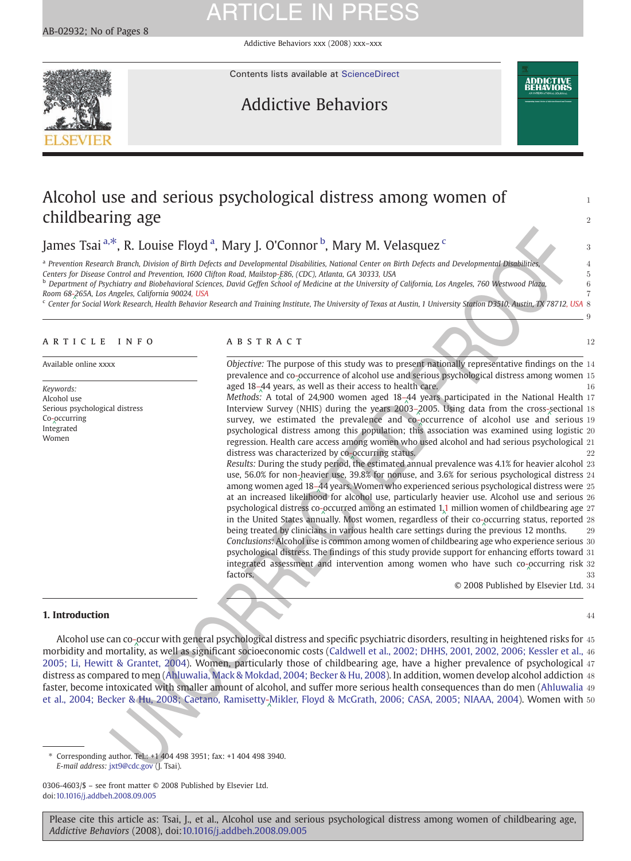Addictive Behaviors xxx (2008) xxx–xxx



Contents lists available at [ScienceDirect](http://www.sciencedirect.com/science/journal/03064603)

# Addictive Behaviors



9

# Alcohol use and serious psychological distress among women of childbearing age 2012 2022 2023 2024 2022 2022 2023 2024 2022 2023 2024 2022 2023 2024 2022 2023 2024 2022 2023

James Tsai <sup>a, $*$ </sup>, R. Louise Floyd <sup>a</sup>, Mary J. O'Connor <sup>b</sup>, Mary M. Velasquez <sup>c</sup>urrelling and the state of a

<sup>a</sup> Prevention Research Branch, Division of Birth Defects and Developmen[tal D](Original_text: - )isabilities, National Center on Birth Defects and Developmental Disabilities,  $\sim$  4 Centers for Disease Control and Prevention, 1600 Clifton Road, Mailstop-[E86](Original_text: - ), (CDC), Atlanta, GA 30333, USA

Centers for Disease Control and Prevention, 1600 Clifton Road, Mailstop-E86, (CDC), Atlanta, GA 30333, USA<br><sup>b</sup> Depart[ment](Original_text: - ) of Psychiatry and Biobehavioral Sciences, David Geffen Sc[hool](Original_text: - ) of Medicine at the University of Calif [265](Original_text: - )A, Los Angeles, California 90024, USA

Room 68-265A, Los Angeles, Calif[or](Original_text: - )nia 90024, U[S](Original_text: - )A<br>© Center for Social Work Research, Health Behavior Research and Training Institute, The University of Texas at Austin, 1 University Station D3510, Austin, TX 78712, USA

# ARTICLE INFO ABSTRACT 12

Keywords: Alcohol use Ser[ious](Original_text: - ) psychological distress Co- [occu](Original_text: - )rring ^ Int[egra](Original_text: - )ted Women

Available online xxxx **Objective:** The pur[pos](Original_text: - )e of this study was to present nationally representative findings on the 14 prevalence and co-[occ](Original_text: - )urrence of alcohol use and serious psychological distress among women 15<br>ared 18, 44 years, as well as their assess to boalth sare. aged 18–44 years, as well as their access to health care.<br>Methode: A total of 24,000 women aged 18,44 years participated in the National Health 17 aged 18-[44](Original_text: ) years, [as](Original_text: - ) [w](Original_text: - )ell as their access to health care.

Methods: A total of 24,900 women aged  $18-44$  years participated in the National Health 17<br>Interview Syrway (NUIS) during the vears 2002, 2005, Using data from the grees sectional 18 Interview Survey (NHIS) during the years 2003–2005. Using data from the cross-sectional 18<br>curious we estimated the providence and co-occurrence of algebral wes and cerious 10  $s$  survey, we estimated the prevalence and co-  $\sqrt{s}$   $\cos \theta$ ,  $\cos \theta$  and serious the prevalence of alcohol use and serious  $\sin \theta$  and  $\sin \theta$  is a prevalence of alcohol use and serious  $\sin \theta$  and  $\sin \theta$  is a prevalence an psychological distress among this population; this association was examined using logistic 20 regression. Health care access among women who used alcohol and had serious psychological 21 distress was characterized by co-occurring status.<br>Results: During the study period, the estimated annual prevalence was 4.1% for heavier alcohol 23 distress was characterized by co-occurring status.

<sup>26</sup>, R. Louise Floyd<sup>-2</sup>, Mary J. O'Connor<sup>b</sup>, Mary M. Velasquez<sup>c</sup><br>
<sup>18</sup> Bond, Dislog of Boltometrics on the relationship disloging Center on the Defect and Developmental Bubblinks<br>
Control and process control and the m use, 56.0% for non-heavier use, 39.8% for nonuse, and 3.6% for serious psychological distress 24<br>among use and 38, 44 vease Momen who eventioned estima psychological distress were at among women aged 18–44 years. Women who experienced serious psychological distress were 25<br>at an increased likelihood for alcebol use, particularly heavier use. Alcebol use and cerious 36 at an increased likelihood for alcohol use, particularly [heav](Original_text: 1 )ier use. Alcohol use and serious 26 psychological distress co-occurred among an estimated [1](Original_text: 1 ),1 million [wom](Original_text: - )en of childbearing age 27<br>in the United States annually, Most women, regardless of their so occurring status, renorted as in the United States annually. Most women, regardless [of](Original_text: 1 ) [th](Original_text: 1 )eir co-[occ](Original_text: - )urring status, reported 28<br>heing treated by clinicians in unrious health care esttings during the provious 12 months b[e](Original_text: - )ing treated by clinicians in various health care settings during the [pr](Original_text: - )evious 12 months. 29 Conclusions: Alcohol use is common among women of childbearing age who experience serious 30 psychological distress. The findings of this study provide support for enhancing [effo](Original_text: - )rts toward 31 integrated assessment and intervention among women who have such co- $\alpha$ ccurring risk 32  $^{\circ}$ factors. 33

© 2008 Published by Elsevier Ltd. 34

## **1. Introduction 44**

Alcohol use can co-occur with general psychological distress and specific psychiatric disorders, resulting in heightened risks for 45<br>rhidity and mortality as well as simificant socioescopenic sects (Caldwell et al. 2002; morbidity and mortality, as well as significant socioeconomic costs [\(Caldwell et al., 2002; DHHS, 2001, 2002, 2006; Kessler et al.,](#page-6-0) 46 [2005; Li, Hewitt & Grantet, 2004\)](#page-6-0). Women, particularly those of childbearing age, have a higher prevalence of psychological 47 distress as compared to men (Ahluwalia, Mack & Mokdad, 2004; Becker & Hu, 2008). In addition, women develop alcohol addiction 48 faster, become intoxicated with smaller amount of alcohol, and suffer more serious health consequences than do men ([Ahluwalia](#page-6-0) 49 [et al., 2004; Becker & Hu, 2008; Caetano, Ramisetty-](#page-6-0)<sub>A</sub>Mikler, Floyd & McGrath, 2006; CASA, 2005; NIAAA, 2004). Women with 50<br>.

⁎ Corresponding author. Tel.: +1 404 498 3951; fax: +1 404 498 3940. E-mail address: jxt9@cdc.gov (J. Tsai).

0306-4603/\$ – see front matter © 2008 Published by Elsevier Ltd. doi[:10.1016/j.addbeh.2008.09.005](http://dx.doi.org/10.1016/j.addbeh.2008.09.005)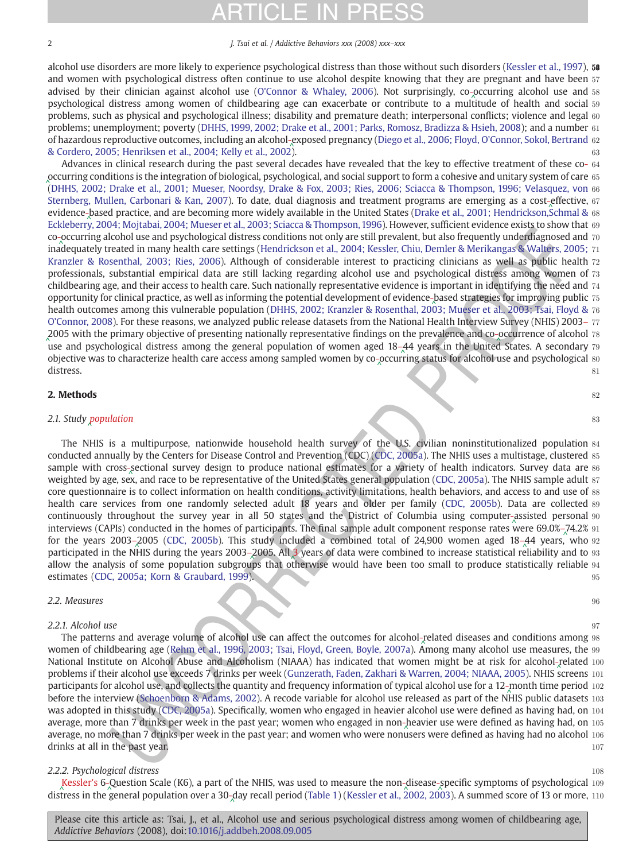2 J. Tsai et al. / Addictive Behaviors xxx (2008) xxx–xxx

alcohol use disorders are more likely to experience psychological distress than those without such disorders ([Kessler et al., 1997\)](#page-7-0), 58 and women with psychological distress often continue to use alcohol despite knowing that they are pregnant and have been 57 advised by their clinician against alcohol use [\(O'Connor & Whaley, 2006\)](#page-7-0). Not surprisingly, co-[occ](Original_text: - )urring alcohol use and 58<br>psychological distress among women of childboaring age can exacerbate or contribute to a multitude psychological distress among women of childbearing age can exacerbate or contribute to a mul[titu](Original_text: - )de of health and social 59 problems, such as physical and psychological illness; disability and premature death; interpersonal conflicts; violence and legal 60 problems; unemployment; poverty [\(DHHS, 1999, 2002; Drake et al., 2001; Parks, Romosz, Bradizza & Hsieh, 2008](#page-6-0)); and a number 61 of hazardous reproductive outcomes, including an alcohol-[exp](Original_text: - )osed pregnancy ([Diego et al., 2006; Floyd, O](#page-6-0)'Connor, Sokol, Bertrand 62<br>& Cordero, 2005; Henriksen et al., 2004; Kelly et al., 2002) [& Cordero, 2005; Henriksen et al., 2004; Kelly et al., 2002](#page-6-0)). 63

(column and paythological distinces continue and paythelic and paythelic and paythelic and paythelic and paythelic and paythelic and paythelic and paythelic and paythelic and paythelic and paythelic and paythelic and payth Advances in clinical research during the past several decades have revealed that the key to effective treatment of these co- 64 [occ](Original_text: - )urring conditions is the integration of biological, psychological, and social support to form a cohesive and unitary system of care 65<br>CDHUS 2002: Drake et al., 2001: Museer Noorday, Drake & Fox, 2002: Pies, 2006: Sciac [\(](Original_text: - )[DHHS, 2002; Drake et al., 2001; Mueser, Noordsy, Drake & Fox, 2003; Ries, 2006; Sciacca & Thompson, 1996; Velasquez, von](#page-6-0) 66 [Sternberg, Mullen, Carbonari & Kan, 2007\)](#page-6-0). To date, dual diagnosis and treatment programs are emerging as a cost-[effe](Original_text: - )ctive, 67<br>evidence based practice, and are becoming more widely available in the United States (Drake et evidence-[bas](Original_text: - )ed practice, and are becoming more widely available in the United States ([Drake et al., 2001; Hendrickson,Schmal &](#page-6-0) 68<br>Eckloberry 2004: Moitabai, 2004: Mueser et al., 2002: Sciesce & Thompson, 1006). However, su [Eckleberry, 2004; Mojtabai, 2004; Mueser et al., 2003; Sciacca & Thompson, 1996](#page-6-0)). However, sufficient evidence exists to show that 69 co-[occ](Original_text: - )urring alcohol use and psychological distress conditions not only are still prevalent, but also frequently underdiagnosed and 70<br>inadequately treated in many boalth care settings (Hendrickson et al. 2004; Kessler, Ch ina[deq](Original_text: - )uately treated in many health care settings ([Hendrickson et al., 2004; Kessler, Chiu, Demler & Merikangas & Walters, 2005;](#page-6-0) 71 [Kranzler & Rosenthal, 2003; Ries, 2006](#page-6-0)). Although of considerable interest to practicing clinicians as well as public health 72 professionals, substantial empirical data are still lacking regarding alcohol use and psychological distress among women of 73 childbearing age, and their access to health care. Such nationally representative evidence is important in identifying the need and 74 opportunity for clinical practice, as well as informing the potential development of evidence-based strategies for improving public 75<br>basith outcomes among this vulnerable population (DHUS, 2002) Kranzler & Posenthal, 200 health outcomes among this vulnerable population [\(DHHS, 2002; Kranzler & Rosenthal, 2003; Mueser et al., 2003; Tsai, Floyd &](#page-6-0) 76 O'[Connor, 2008](#page-6-0)). For these reasons, we analyzed public release datasets from the National Health Interview Survey (NHIS) 2003– 77 [200](Original_text: )5 with the primary objective of presenting nationally representative findings on the prevalence and co-occurrence of alcohol 78<br>are and prechalogical distress among the general population of women aged 18, 44 vears in t  $\frac{1}{2}$  [use](Original_text: ) and psychological distress among the general population of women aged 18–[44](Original_text: ) years in the United States. A secondary 79  $\frac{1}{2}$  objective use to characterize boalth care access among sampled women by so occ objective was to characterize health care access among sampled women by co-[occ](Original_text: - )urring status for alcohol use and psychological 80  $^{\circ}$ distress. 81

## **2. Methods**  $82$

### 2.1. Study population 83  $\frac{83}{2}$ 2.1. Study [pop](Original_text: Population)ulation

The NHIS is a multipurpose, nationwide household health survey of the U.S. civilian noninstitutionalized population 84 conducted annually by the Centers for Disease Control and Prevention (CDC) (CDC, 2005a). The NHIS uses a multistage, clustered 85 sample with cross-sectional survey design to produce national estimates for a variety of health indicators. Survey data are sectional survey data are sectional survey data are sectional survey data are sections. Survey dat weighted by age, sex, and race to be representative of the United States general population ([CDC, 2005a\)](#page-6-0). The NHIS sample adult 87 core questionnaire is to collect information on health conditions, activity limitations, health behaviors, and access to and use of 88 health care services from one randomly selected adult 18 years and older per family [\(CDC, 2005b\)](#page-6-0). Data are collected 89 continuously throughout the survey year in all 50 states and the District of Columbia using computer-[ass](Original_text: - )isted personal 90<br>interviews (CARIs) conducted in the homes of participants. The final sample adult component respons interviews (CAPIs) conducted in the homes of participants. The final sample adult component response rates [wer](Original_text: - )e 69.0%–[74.](Original_text: )2% 91<br>for the years 2003, 2005 (CDC, 2005b). This study included a combined total of 24,000 wemen ag for the years 2003–2005 (CDC, 2005b). This study included a combined total of 24,900 women aged 18–[44](Original_text: ) years, [w](Original_text: )ho 92<br>participated in the NHIS during the years 2002, 2005, All 2 years of data were combined to increase statis participated in the NHIS during the years 2003–2005. All 3 years of data were combined to increase statistical r[elia](Original_text: )bility and to 3<br>allow the analysis of some population subgroups that otherwise would have been too small allow the analysis of some population subgroups that otherwise would have been too small to produce statistically reliable 94 estimates ([CDC, 2005a; Korn & Graubard, 1999](#page-6-0)). 95

## 2.2. Measures 96

# $2.2.1.$  Alcohol use 97

The patterns and average volume of alcohol use can affect the outcomes for alcohol-[rela](Original_text: - )ted diseases and conditions among 98<br>man of childhoaring ago (Pohm of al. 1996, 2002) Toi. Floyd, Creep Boyle, 2007a), Among many algeb women of childbearing age (Rehm et al., 1996, 2003; Tsai, Floyd, Green, Boyle, 2007a). Among many alcohol use measures, the 99 National Institute on Alcohol Abuse and Alcoholism (NIAAA) has indicated that women might be at risk for alcohol-[rela](Original_text: - )ted 100<br>problems if their alcohol use oxeeeds 7 drinks per week (Cunzerath Eaden Zakhari 8 Warren 2004) N problems if their alcohol use exceeds 7 drinks per week ([Gunzerath, Faden, Zakhari & Warren, 2004; NIAAA, 2005](#page-6-0)). NHIS [scre](Original_text: - )ens 101 participants for alcohol use, and collects the quantity and frequency information of typical alcohol use for a 12-[mo](Original_text: - )nth time period 102<br>hefere the interview (Schoopborn 8, Adams, 2002). A resede verioble for alcohol we rel before the interview (Schoenborn & Adams, 2002). A recode variable for alcohol use released as part of the N[HIS](Original_text: - ) public datasets 103 was adopted in this study (CDC, 2005a). Specifically, women who engaged in heavier alcohol use were defined as having had, on 104 average, more than 7 drinks per week in the past year; women who engaged in non-heavier use were defined as having had, on 105<br>average, no more than 7 drinks per week in the past year; and weren who were pervisors were def average, no more than 7 drinks per week in the past year; and women who were nonusers were defined as having had no alcohol 106 drinks at all in the past year. 107

# 2.2.2. Psychological distress that the state of the state of the state of the state of the state of the state of the state of the state of the state of the state of the state of the state of the state of the state of the s

[Kes](Original_text: Kesslers )sler's 6-[Qu](Original_text: - )estion Scale (K6), a part of the NHIS, was used to measure the non-[dis](Original_text: - )ease-[spe](Original_text: - )cific symptoms of psychological 109<br>trees in the caparal population over a 20 day recall period (Table 1) (Kessler et al. 2002, 2  $\frac{1}{2}$  dis[tres](Original_text: Kesslers )s in the [gen](Original_text: - )eral population over a 30- [day](Original_text: - ) recall period ([Table 1](#page-2-0)) [\(Kessler et al., 2002, 2003](#page-6-0)[\)](Original_text: - ). A summed score of 13 or more, 110 distress in the general population over a 30- day recall period (Table 1)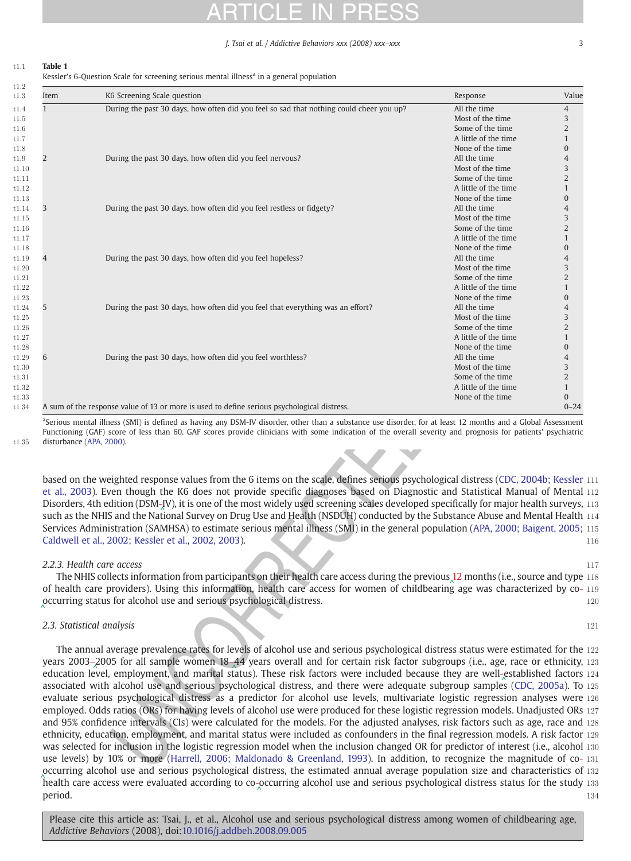J. Tsai et al. / Addictive Behaviors xxx (2008) xxx–xxx 3

# <span id="page-2-0"></span>t1:1 Table 1

Kessler's 6-Question Scale for screening serious mental illness<sup>a</sup> in a general population

| Item |                                                                                                                                                                                                                                                                                                                                                                                                                                                                                                                                                                                                                                                                                              | Response                             | Value                        |
|------|----------------------------------------------------------------------------------------------------------------------------------------------------------------------------------------------------------------------------------------------------------------------------------------------------------------------------------------------------------------------------------------------------------------------------------------------------------------------------------------------------------------------------------------------------------------------------------------------------------------------------------------------------------------------------------------------|--------------------------------------|------------------------------|
|      | During the past 30 days, how often did you feel so sad that nothing could cheer you up?                                                                                                                                                                                                                                                                                                                                                                                                                                                                                                                                                                                                      | All the time                         | 4                            |
|      |                                                                                                                                                                                                                                                                                                                                                                                                                                                                                                                                                                                                                                                                                              | Most of the time                     | 3                            |
|      |                                                                                                                                                                                                                                                                                                                                                                                                                                                                                                                                                                                                                                                                                              | Some of the time                     | 2                            |
|      |                                                                                                                                                                                                                                                                                                                                                                                                                                                                                                                                                                                                                                                                                              | A little of the time                 | 1                            |
|      |                                                                                                                                                                                                                                                                                                                                                                                                                                                                                                                                                                                                                                                                                              | None of the time                     | $\mathbf{0}$                 |
|      | During the past 30 days, how often did you feel nervous?                                                                                                                                                                                                                                                                                                                                                                                                                                                                                                                                                                                                                                     | All the time                         | 4                            |
|      |                                                                                                                                                                                                                                                                                                                                                                                                                                                                                                                                                                                                                                                                                              | Most of the time                     | 3                            |
|      |                                                                                                                                                                                                                                                                                                                                                                                                                                                                                                                                                                                                                                                                                              | Some of the time                     | 2                            |
|      |                                                                                                                                                                                                                                                                                                                                                                                                                                                                                                                                                                                                                                                                                              | A little of the time                 | 1                            |
|      |                                                                                                                                                                                                                                                                                                                                                                                                                                                                                                                                                                                                                                                                                              | None of the time                     | 0                            |
|      | During the past 30 days, how often did you feel restless or fidgety?                                                                                                                                                                                                                                                                                                                                                                                                                                                                                                                                                                                                                         | All the time                         | 4                            |
|      |                                                                                                                                                                                                                                                                                                                                                                                                                                                                                                                                                                                                                                                                                              | Most of the time                     | 3                            |
|      |                                                                                                                                                                                                                                                                                                                                                                                                                                                                                                                                                                                                                                                                                              | Some of the time                     | 2                            |
|      |                                                                                                                                                                                                                                                                                                                                                                                                                                                                                                                                                                                                                                                                                              | A little of the time                 | 1                            |
|      |                                                                                                                                                                                                                                                                                                                                                                                                                                                                                                                                                                                                                                                                                              | None of the time                     | 0                            |
|      | During the past 30 days, how often did you feel hopeless?                                                                                                                                                                                                                                                                                                                                                                                                                                                                                                                                                                                                                                    | All the time                         | 4                            |
|      |                                                                                                                                                                                                                                                                                                                                                                                                                                                                                                                                                                                                                                                                                              | Most of the time                     | 3                            |
|      |                                                                                                                                                                                                                                                                                                                                                                                                                                                                                                                                                                                                                                                                                              | Some of the time                     | $\overline{2}$               |
|      |                                                                                                                                                                                                                                                                                                                                                                                                                                                                                                                                                                                                                                                                                              | A little of the time                 | 1                            |
|      |                                                                                                                                                                                                                                                                                                                                                                                                                                                                                                                                                                                                                                                                                              | None of the time                     | 0                            |
|      | During the past 30 days, how often did you feel that everything was an effort?                                                                                                                                                                                                                                                                                                                                                                                                                                                                                                                                                                                                               | All the time                         | 4                            |
|      |                                                                                                                                                                                                                                                                                                                                                                                                                                                                                                                                                                                                                                                                                              | Most of the time<br>Some of the time | 3<br>2                       |
|      |                                                                                                                                                                                                                                                                                                                                                                                                                                                                                                                                                                                                                                                                                              |                                      |                              |
|      |                                                                                                                                                                                                                                                                                                                                                                                                                                                                                                                                                                                                                                                                                              | A little of the time                 | $\mathbf{1}$<br>$\mathbf{0}$ |
|      |                                                                                                                                                                                                                                                                                                                                                                                                                                                                                                                                                                                                                                                                                              | None of the time<br>All the time     | 4                            |
|      | During the past 30 days, how often did you feel worthless?                                                                                                                                                                                                                                                                                                                                                                                                                                                                                                                                                                                                                                   | Most of the time                     | 3                            |
|      |                                                                                                                                                                                                                                                                                                                                                                                                                                                                                                                                                                                                                                                                                              | Some of the time                     | 2                            |
|      |                                                                                                                                                                                                                                                                                                                                                                                                                                                                                                                                                                                                                                                                                              | A little of the time                 | 1                            |
|      |                                                                                                                                                                                                                                                                                                                                                                                                                                                                                                                                                                                                                                                                                              | None of the time                     | $\overline{0}$               |
|      | A sum of the response value of 13 or more is used to define serious psychological distress.                                                                                                                                                                                                                                                                                                                                                                                                                                                                                                                                                                                                  |                                      | $0 - 24$                     |
|      |                                                                                                                                                                                                                                                                                                                                                                                                                                                                                                                                                                                                                                                                                              |                                      |                              |
|      | based on the weighted response values from the 6 items on the scale, defines serious psychological distress (CDC, 2004b; Kessler<br>et al., 2003). Even though the K6 does not provide specific diagnoses based on Diagnostic and Statistical Manual of Mental<br>Disorders, 4th edition (DSM-JV), it is one of the most widely used screening scales developed specifically for major health surveys,                                                                                                                                                                                                                                                                                       |                                      |                              |
|      | such as the NHIS and the National Survey on Drug Use and Health (NSDUH) conducted by the Substance Abuse and Mental Health<br>Services Administration (SAMHSA) to estimate serious mental illness (SMI) in the general population (APA, 2000; Baigent, 2005;<br>Caldwell et al., 2002; Kessler et al., 2002, 2003).<br>2.2.3. Health care access<br>The NHIS collects information from participants on their health care access during the previous 12 months (i.e., source and type<br>of health care providers). Using this information, health care access for women of childbearing age was characterized by co-<br>occurring status for alcohol use and serious psychological distress. |                                      |                              |
|      | 2.3. Statistical analysis<br>The annual average prevalence rates for levels of alcohol use and serious psychological distress status were estimated for the                                                                                                                                                                                                                                                                                                                                                                                                                                                                                                                                  |                                      |                              |

# 2.2.3. Health care access 117

# 2.3. Statistical analysis 121

The annual average prevalence rates for levels of alcohol use and serious psychological distress status were estimated for the 122 years [200](Original_text: )3–2005 for all sample women 18–44 years overall and for certain risk factor subgroups (i.e., age, race or ethnicity, 123<br>education loyal, employment, and marital clatus). These risk factors were included because t education l[evel](Original_text: ), employment, and marital status). These risk factors were included because they are well-[est](Original_text: - )ablished increases  $\frac{1}{2}$ associated with alcohol use and serious psychological distress, and there were adequate subgroup sample[s](Original_text: - ) [\(](Original_text: - )[CDC, 2005a\)](#page-6-0). To 125 evaluate serious psychological distress as a predictor for alcohol use levels, multivariate logistic regression analyses were 126 employed. Odds ratios (ORs) for having levels of alcohol use were produced for these logistic regression models. Unadjusted ORs 127 and 95% confidence intervals (CIs) were calculated for the models. For the adjusted analyses, risk factors such as age, race and 128 ethnicity, education, employment, and marital status were included as confounders in the final regression models. A risk factor 129 was selected for inclusion in the logistic regression model when the inclusion changed OR for predictor of interest (i.e., alcohol 130 use levels) by 10% or more (Harrell, 2006; Maldonado & Greenland, 1993). In addition, to recognize the magnitude of co- 131 [occ](Original_text: - )urring alcohol use and serious psychological distress, the estimated annual average population size and characteristics of 132 [hea](Original_text: - )lth care access were evaluated according to co-[occ](Original_text: - )urring alcohol use and serious psychological distress status for the study 133<br>- ^ 13 period. 134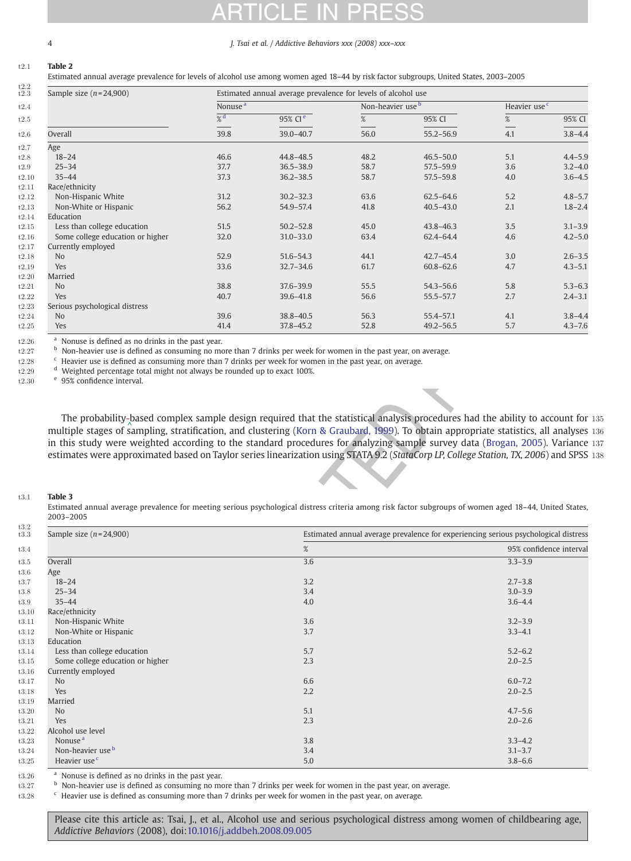# <span id="page-3-0"></span>4 J. Tsai et al. / Addictive Behaviors xxx (2008) xxx–xxx

# t2:1 Table 2

Estimated annual average prevalence for levels of alcohol use among women aged 18–44 by risk factor subgroups, United States, 2003–2005

| Sample size $(n=24,900)$         |                     | Estimated annual average prevalence for levels of alcohol use |                              |               |                          |             |  |  |
|----------------------------------|---------------------|---------------------------------------------------------------|------------------------------|---------------|--------------------------|-------------|--|--|
|                                  | Nonuse <sup>a</sup> |                                                               | Non-heavier use <sup>b</sup> |               | Heavier use <sup>c</sup> |             |  |  |
|                                  | $\frac{9}{6}$ d     | 95% CI <sup>e</sup>                                           | $\%$                         | 95% CI        | %                        | 95% CI      |  |  |
| Overall                          | 39.8                | $39.0 - 40.7$                                                 | 56.0                         | $55.2 - 56.9$ | 4.1                      | $3.8 - 4.4$ |  |  |
| Age                              |                     |                                                               |                              |               |                          |             |  |  |
| $18 - 24$                        | 46.6                | 44.8-48.5                                                     | 48.2                         | $46.5 - 50.0$ | 5.1                      | $4.4 - 5.9$ |  |  |
| $25 - 34$                        | 37.7                | $36.5 - 38.9$                                                 | 58.7                         | $57.5 - 59.9$ | 3.6                      | $3.2 - 4.0$ |  |  |
| $35 - 44$                        | 37.3                | $36.2 - 38.5$                                                 | 58.7                         | $57.5 - 59.8$ | 4.0                      | $3.6 - 4.5$ |  |  |
| Race/ethnicity                   |                     |                                                               |                              |               |                          |             |  |  |
| Non-Hispanic White               | 31.2                | $30.2 - 32.3$                                                 | 63.6                         | $62.5 - 64.6$ | 5.2                      | $4.8 - 5.7$ |  |  |
| Non-White or Hispanic            | 56.2                | 54.9-57.4                                                     | 41.8                         | $40.5 - 43.0$ | 2.1                      | $1.8 - 2.4$ |  |  |
| Education                        |                     |                                                               |                              |               |                          |             |  |  |
| Less than college education      | 51.5                | $50.2 - 52.8$                                                 | 45.0                         | $43.8 - 46.3$ | 3.5                      | $3.1 - 3.9$ |  |  |
| Some college education or higher | 32.0                | $31.0 - 33.0$                                                 | 63.4                         | 62.4-64.4     | 4.6                      | $4.2 - 5.0$ |  |  |
| Currently employed               |                     |                                                               |                              |               |                          |             |  |  |
| N <sub>o</sub>                   | 52.9                | $51.6 - 54.3$                                                 | 44.1                         | $42.7 - 45.4$ | 3.0                      | $2.6 - 3.5$ |  |  |
| Yes                              | 33.6                | $32.7 - 34.6$                                                 | 61.7                         | $60.8 - 62.6$ | 4.7                      | $4.3 - 5.1$ |  |  |
| Married                          |                     |                                                               |                              |               |                          |             |  |  |
| N <sub>o</sub>                   | 38.8                | 37.6-39.9                                                     | 55.5                         | $54.3 - 56.6$ | 5.8                      | $5.3 - 6.3$ |  |  |
| Yes                              | 40.7                | 39.6-41.8                                                     | 56.6                         | $55.5 - 57.7$ | 2.7                      | $2.4 - 3.1$ |  |  |
| Serious psychological distress   |                     |                                                               |                              |               |                          |             |  |  |
| N <sub>o</sub>                   | 39.6                | $38.8 - 40.5$                                                 | 56.3                         | 55.4-57.1     | 4.1                      | $3.8 - 4.4$ |  |  |
| Yes                              | 41.4                | $37.8 - 45.2$                                                 | 52.8                         | $49.2 - 56.5$ | 5.7                      | $4.3 - 7.6$ |  |  |

# t3:1 Table 3

| The probability-based complex sample design required that the statistical analysis procedures had the ability to account for<br>multiple stages of sampling, stratification, and clustering (Korn & Graubard, 1999). To obtain appropriate statistics, all analyses<br>in this study were weighted according to the standard procedures for analyzing sample survey data (Brogan, 2005). Variance<br>estimates were approximated based on Taylor series linearization using STATA 9.2 (StataCorp LP, College Station, TX, 2006) and SPSS |     |                                                                                     |
|------------------------------------------------------------------------------------------------------------------------------------------------------------------------------------------------------------------------------------------------------------------------------------------------------------------------------------------------------------------------------------------------------------------------------------------------------------------------------------------------------------------------------------------|-----|-------------------------------------------------------------------------------------|
| <b>Table 3</b><br>Estimated annual average prevalence for meeting serious psychological distress criteria among risk factor subgroups of women aged 18-44, United States,<br>2003-2005                                                                                                                                                                                                                                                                                                                                                   |     |                                                                                     |
| Sample size $(n=24,900)$                                                                                                                                                                                                                                                                                                                                                                                                                                                                                                                 |     | Estimated annual average prevalence for experiencing serious psychological distress |
|                                                                                                                                                                                                                                                                                                                                                                                                                                                                                                                                          | %   | 95% confidence interval                                                             |
| Overall                                                                                                                                                                                                                                                                                                                                                                                                                                                                                                                                  | 3.6 | $3.3 - 3.9$                                                                         |
| Age                                                                                                                                                                                                                                                                                                                                                                                                                                                                                                                                      |     |                                                                                     |
| $18 - 24$                                                                                                                                                                                                                                                                                                                                                                                                                                                                                                                                | 3.2 | $2.7 - 3.8$                                                                         |
| $25 - 34$                                                                                                                                                                                                                                                                                                                                                                                                                                                                                                                                | 3.4 | $3.0 - 3.9$                                                                         |
| $35 - 44$                                                                                                                                                                                                                                                                                                                                                                                                                                                                                                                                | 4.0 | $3.6 - 4.4$                                                                         |
| Race/ethnicity                                                                                                                                                                                                                                                                                                                                                                                                                                                                                                                           |     |                                                                                     |
| Non-Hispanic White                                                                                                                                                                                                                                                                                                                                                                                                                                                                                                                       | 3.6 | $3.2 - 3.9$                                                                         |
| Non-White or Hispanic                                                                                                                                                                                                                                                                                                                                                                                                                                                                                                                    | 3.7 | $3.3 - 4.1$                                                                         |
| Education                                                                                                                                                                                                                                                                                                                                                                                                                                                                                                                                |     |                                                                                     |
| Less than college education                                                                                                                                                                                                                                                                                                                                                                                                                                                                                                              | 5.7 | $5.2 - 6.2$                                                                         |
| Some college education or higher                                                                                                                                                                                                                                                                                                                                                                                                                                                                                                         | 2.3 | $2.0 - 2.5$                                                                         |
| Currently employed                                                                                                                                                                                                                                                                                                                                                                                                                                                                                                                       |     |                                                                                     |
| N <sub>o</sub>                                                                                                                                                                                                                                                                                                                                                                                                                                                                                                                           | 6.6 | $6.0 - 7.2$                                                                         |
| Yes                                                                                                                                                                                                                                                                                                                                                                                                                                                                                                                                      | 2.2 | $2.0 - 2.5$                                                                         |
| Married                                                                                                                                                                                                                                                                                                                                                                                                                                                                                                                                  |     |                                                                                     |
| No                                                                                                                                                                                                                                                                                                                                                                                                                                                                                                                                       | 5.1 | $4.7 - 5.6$                                                                         |
| Yes                                                                                                                                                                                                                                                                                                                                                                                                                                                                                                                                      | 2.3 | $2.0 - 2.6$                                                                         |
| Alcohol use level                                                                                                                                                                                                                                                                                                                                                                                                                                                                                                                        |     |                                                                                     |
| Nonuse <sup>a</sup>                                                                                                                                                                                                                                                                                                                                                                                                                                                                                                                      | 3.8 | $3.3 - 4.2$                                                                         |
| Non-heavier use <sup>b</sup>                                                                                                                                                                                                                                                                                                                                                                                                                                                                                                             | 3.4 | $3.1 - 3.7$                                                                         |
| Heavier use <sup>c</sup>                                                                                                                                                                                                                                                                                                                                                                                                                                                                                                                 | 5.0 | $3.8 - 6.6$                                                                         |

 $t3.26$   $\phantom{000}^{\text{a}}$  Nonuse is defined as no drinks in the past year.

<sup>b</sup> t3:27 Non-heavier use is defined as consuming no more than 7 drinks per week for women in the past year, on average.

t3.28 <sup>c</sup> Heavier use is defined as consuming more than 7 drinks per week for women in the past year, on average.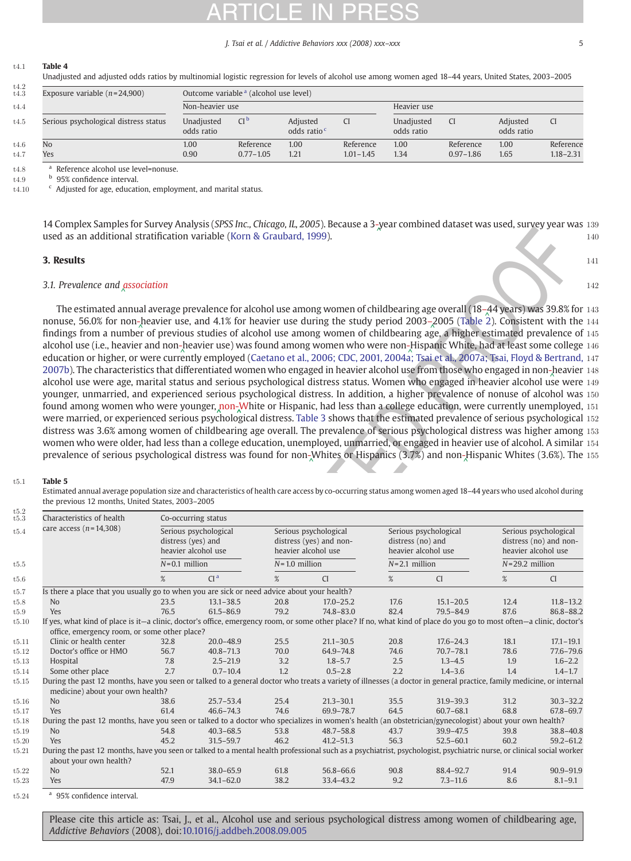### J. Tsai et al. / Addictive Behaviors xxx (2008) xxx-xxx

### <span id="page-4-0"></span>t4:1 Table 4

Unadjusted and adjusted odds ratios by multinomial logistic regression for levels of alcohol use among women aged 18–44 years, United States, 2003–2005

| t4.2<br>t4.3 | Exposure variable $(n=24,900)$        |                          | Outcome variable <sup>a</sup> (alcohol use level) |                                   |               |                          |               |                        |               |
|--------------|---------------------------------------|--------------------------|---------------------------------------------------|-----------------------------------|---------------|--------------------------|---------------|------------------------|---------------|
| t4.4         |                                       | Non-heavier use          |                                                   |                                   |               | Heavier use              |               |                        |               |
| t4.5         | Serious psychological distress status | Unadjusted<br>odds ratio | CI <sup>b</sup>                                   | Adjusted<br>odds ratio $\epsilon$ |               | Unadiusted<br>odds ratio | <b>CI</b>     | Adjusted<br>odds ratio |               |
| t4.6         | No                                    | 1.00                     | Reference                                         | 1.00                              | Reference     | 1.00                     | Reference     | 1.00                   | Reference     |
| t.4.7        | Yes                                   | 0.90                     | $0.77 - 1.05$                                     | 1.21                              | $1.01 - 1.45$ | 1.34                     | $0.97 - 1.86$ | 1.65                   | $1.18 - 2.31$ |

<sup>a</sup> t4:8 Reference alcohol use level=nonuse.

t4.9  $b$  95% confidence interval.<br>t4.10  $c$  Adiusted for age, education

 $c$  Adjusted for age, education, employment, and marital status.

14 Complex Samples for Survey Analysis (SPSS Inc., Chicago, IL, 2005). Because a 3-[yea](Original_text: - )r combined dataset was used, survey year was 139<br>used as an additional stratification variable (Korn & Craubard, 1999). used as an additional stratification variable ([Korn & Graubard, 1999\)](#page-7-0). 140

## **3. Results**  $141$

# 3.1. Prevalence and [ass](Original_text: Association)ociation  $^{142}$

### t5:1 Table 5

| 3. Results                                                                                                                                                                   |                    |                                |                   |                         |                   |                           |                    |                                                      |
|------------------------------------------------------------------------------------------------------------------------------------------------------------------------------|--------------------|--------------------------------|-------------------|-------------------------|-------------------|---------------------------|--------------------|------------------------------------------------------|
| 3.1. Prevalence and association                                                                                                                                              |                    |                                |                   |                         |                   |                           |                    |                                                      |
| The estimated annual average prevalence for alcohol use among women of childbearing age overall (18-44 years) was 39.8% for                                                  |                    |                                |                   |                         |                   |                           |                    |                                                      |
| nonuse, 56.0% for non-heavier use, and 4.1% for heavier use during the study period 2003-2005 (Table 2). Consistent with the                                                 |                    |                                |                   |                         |                   |                           |                    |                                                      |
| findings from a number of previous studies of alcohol use among women of childbearing age, a higher estimated prevalence of                                                  |                    |                                |                   |                         |                   |                           |                    |                                                      |
| alcohol use (i.e., heavier and non-heavier use) was found among women who were non-Hispanic White, had at least some college                                                 |                    |                                |                   |                         |                   |                           |                    |                                                      |
| education or higher, or were currently employed (Caetano et al., 2006; CDC, 2001, 2004a; Tsai et al., 2007a; Tsai, Floyd & Bertrand,                                         |                    |                                |                   |                         |                   |                           |                    |                                                      |
| 2007b). The characteristics that differentiated women who engaged in heavier alcohol use from those who engaged in non-heavier                                               |                    |                                |                   |                         |                   |                           |                    |                                                      |
| alcohol use were age, marital status and serious psychological distress status. Women who engaged in heavier alcohol use were                                                |                    |                                |                   |                         |                   |                           |                    |                                                      |
| younger, unmarried, and experienced serious psychological distress. In addition, a higher prevalence of nonuse of alcohol was                                                |                    |                                |                   |                         |                   |                           |                    |                                                      |
| found among women who were younger, non-White or Hispanic, had less than a college education, were currently unemployed,                                                     |                    |                                |                   |                         |                   |                           |                    |                                                      |
| were married, or experienced serious psychological distress. Table 3 shows that the estimated prevalence of serious psychological                                            |                    |                                |                   |                         |                   |                           |                    |                                                      |
| distress was 3.6% among women of childbearing age overall. The prevalence of serious psychological distress was higher among                                                 |                    |                                |                   |                         |                   |                           |                    |                                                      |
| women who were older, had less than a college education, unemployed, unmarried, or engaged in heavier use of alcohol. A similar                                              |                    |                                |                   |                         |                   |                           |                    |                                                      |
| prevalence of serious psychological distress was found for non-Whites or Hispanics (3.7%) and non-Hispanic Whites (3.6%). The                                                |                    |                                |                   |                         |                   |                           |                    |                                                      |
|                                                                                                                                                                              |                    |                                |                   |                         |                   |                           |                    |                                                      |
|                                                                                                                                                                              |                    |                                |                   |                         |                   |                           |                    |                                                      |
| Table 5                                                                                                                                                                      |                    |                                |                   |                         |                   |                           |                    |                                                      |
|                                                                                                                                                                              |                    |                                |                   |                         |                   |                           |                    |                                                      |
| Estimated annual average population size and characteristics of health care access by co-occurring status among women aged 18-44 years who used alcohol during               |                    |                                |                   |                         |                   |                           |                    |                                                      |
| the previous 12 months, United States, 2003-2005                                                                                                                             |                    |                                |                   |                         |                   |                           |                    |                                                      |
| Characteristics of health                                                                                                                                                    |                    | Co-occurring status            |                   |                         |                   |                           |                    |                                                      |
| care access $(n=14,308)$                                                                                                                                                     |                    | Serious psychological          |                   | Serious psychological   |                   | Serious psychological     |                    | Serious psychological                                |
|                                                                                                                                                                              | distress (yes) and |                                |                   | distress (yes) and non- | distress (no) and |                           |                    | distress (no) and non-                               |
|                                                                                                                                                                              |                    | heavier alcohol use            |                   | heavier alcohol use     |                   | heavier alcohol use       |                    | heavier alcohol use                                  |
|                                                                                                                                                                              | $N=0.1$ million    |                                | $N = 1.0$ million |                         | $N=2.1$ million   |                           | $N = 29.2$ million |                                                      |
|                                                                                                                                                                              | $\%$               | CI <sup>a</sup>                | $\%$              | <b>CI</b>               | $\%$              | <b>CI</b>                 | $\%$               | <b>CI</b>                                            |
|                                                                                                                                                                              |                    |                                |                   |                         |                   |                           |                    |                                                      |
| No                                                                                                                                                                           | 23.5               | $13.1 - 38.5$                  | 20.8              | $17.0 - 25.2$           | 17.6              | $15.1 - 20.5$             | 12.4               | $11.8 - 13.2$                                        |
| Is there a place that you usually go to when you are sick or need advice about your health?<br>Yes                                                                           | 76.5               | $61.5 - 86.9$                  | 79.2              | $74.8 - 83.0$           | 82.4              | $79.5 - 84.9$             | 87.6               |                                                      |
| If yes, what kind of place is it—a clinic, doctor's office, emergency room, or some other place? If no, what kind of place do you go to most often—a clinic, doctor's        |                    |                                |                   |                         |                   |                           |                    |                                                      |
| office, emergency room, or some other place?                                                                                                                                 |                    |                                |                   |                         |                   |                           |                    |                                                      |
| Clinic or health center                                                                                                                                                      | 32.8               | $20.0 - 48.9$                  | 25.5              | $21.1 - 30.5$           | 20.8              | $17.6 - 24.3$             | 18.1               |                                                      |
| Doctor's office or HMO                                                                                                                                                       | 56.7               | $40.8 - 71.3$                  | 70.0              | 64.9-74.8               | 74.6              | $70.7 - 78.1$             | 78.6               | 86.8-88.2<br>$17.1 - 19.1$<br>77.6-79.6              |
| Hospital                                                                                                                                                                     | 7.8                | $2.5 - 21.9$                   | 3.2               | $1.8 - 5.7$             | 2.5               | $1.3 - 4.5$               | 1.9                | $1.6 - 2.2$                                          |
| Some other place                                                                                                                                                             | 2.7                | $0.7 - 10.4$                   | 1.2               | $0.5 - 2.8$             | 2.2               | $1.4 - 3.6$               | 1.4                |                                                      |
| During the past 12 months, have you seen or talked to a general doctor who treats a variety of illnesses (a doctor in general practice, family medicine, or internal         |                    |                                |                   |                         |                   |                           |                    |                                                      |
| medicine) about your own health?                                                                                                                                             |                    |                                |                   |                         |                   |                           |                    |                                                      |
| No                                                                                                                                                                           | 38.6               | $25.7 - 53.4$                  | 25.4              | $21.3 - 30.1$           | 35.5              | $31.9 - 39.3$             | 31.2               |                                                      |
| Yes                                                                                                                                                                          | 61.4               | $46.6 - 74.3$                  | 74.6              | 69.9-78.7               | 64.5              | $60.7 - 68.1$             | 68.8               | $1.4 - 1.7$                                          |
| During the past 12 months, have you seen or talked to a doctor who specializes in women's health (an obstetrician/gynecologist) about your own health?                       |                    |                                |                   |                         |                   |                           |                    |                                                      |
| No                                                                                                                                                                           | 54.8               | $40.3 - 68.5$                  | 53.8              | $48.7 - 58.8$           | 43.7              | $39.9 - 47.5$             | 39.8               |                                                      |
| Yes<br>During the past 12 months, have you seen or talked to a mental health professional such as a psychiatrist, psychologist, psychiatric nurse, or clinical social worker | 45.2               | $31.5 - 59.7$                  | 46.2              | $41.2 - 51.3$           | 56.3              | $52.5 - 60.1$             | 60.2               | $30.3 - 32.2$<br>67.8-69.7<br>38.8-40.8<br>59.2-61.2 |
| about your own health?                                                                                                                                                       |                    |                                |                   |                         |                   |                           |                    |                                                      |
| No<br>Yes                                                                                                                                                                    | 52.1<br>47.9       | $38.0 - 65.9$<br>$34.1 - 62.0$ | 61.8<br>38.2      | 56.8-66.6<br>33.4-43.2  | 90.8<br>9.2       | 88.4-92.7<br>$7.3 - 11.6$ | 91.4<br>8.6        | 90.9-91.9<br>$8.1 - 9.1$                             |

t5.24 <sup>a</sup> 95% confidence interval.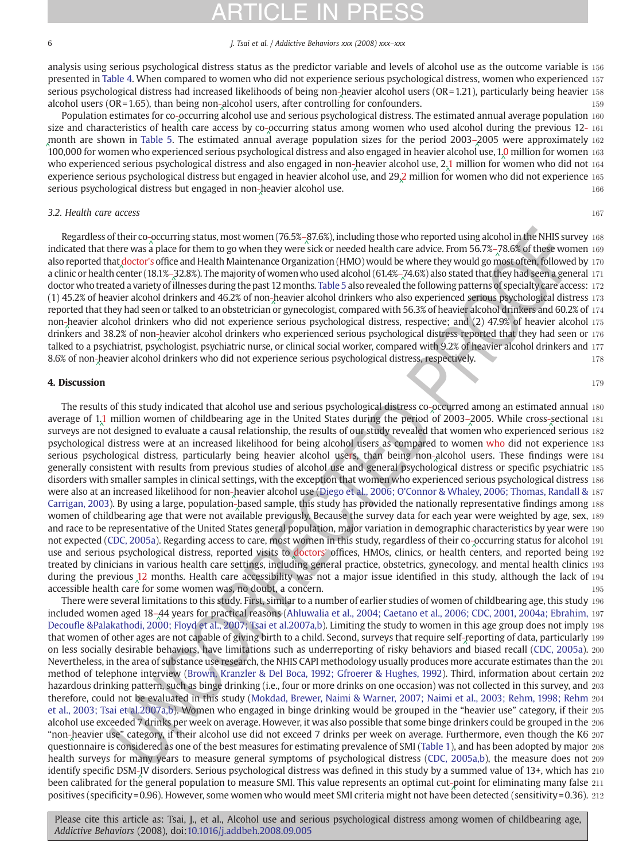### 6 J. Tsai et al. / Addictive Behaviors xxx (2008) xxx–xxx

analysis using serious psychological distress status as the predictor variable and levels of alcohol use as the outcome variable is 156 presented in [Table 4.](#page-4-0) When compared to women who did not experience serious psychological distress, women who experienced 157 serious psychological distress had increased likelihoods of being non-[hea](Original_text: - )vier alcohol users (OR=1.21), particularly being heavier 158<br>alcohol users (OR=1.65), than being non-alcohol users after controlling for confounders alcohol users (OR=1.65), than being non-alcohol users, after controlling for confounders.<br>Dopulation estimates for so oscurring alsohol use and serious psychological distress. The estimated appual average population ass [alc](Original_text: - )ohol users ( $OR = 1.65$ ), than bei[ng](Original_text: - ) non-alcohol users, after controlling for confounders.

Population estimates for co-[occ](Original_text: - )urring [alco](Original_text: - )hol use and serious psychological distress. The estimated annual average population 160<br>Cand characteristics of boalth care access by so occurring status among women who used alcoh size and characteristics of hea[lth](Original_text: - ) care access by co-[occ](Original_text: - )urring status among women who used alcohol during the previous 12-161  $\frac{12}{100}$ [mo](Original_text: - )nth are shown in [Table 5.](#page-4-0) The estimated annu[al](Original_text: - ) [av](Original_text: - )erage population sizes for the period [200](Original_text: )3–2005 [we](Original_text: 0 )re approximately 162<br>100,000 for women who experienced serious psychological distress and also engaged in heavier alsohol [100](Original_text: - ),000 for women who experienced serious psychological distress and also engaged in heavier [alco](Original_text: 1 )hol [use](Original_text: ),  $1,0$  $1,0$  million for women 163  $\mu$  method is a property allowed a serious psychological distress and also engaged in who experienced serious psychological distress and also engaged in non-[hea](Original_text: - )vier alc[oho](Original_text: 2 )l use, 2.[1](Original_text: 1 ) million for [wo](Original_text: 0 )men who did not 164<br>experience serious psychological distress but engaged in beavier alcohol use, and 29.2 milli experience serious psychological distress but engaged in heavier alcohol [use,](Original_text: - ) and 29,2 million for women who did not experience 165<br>245 [^](Original_text: 2 ) 165 serious psychological distress but engaged in non- $\frac{1}{\lambda}$ [hea](Original_text: - )vier alcohol use.

# 3.2. Health care access 167

Regardless of their co-[occ](Original_text: - )urring status, most women (76.5%–[87.](Original_text: )6%), including those who reported using alcohol in the NHIS survey 168<br>iested that there was a place for thom to go whon thou were sick or peeded health care ad indic[a](Original_text: - )ted that there was a [pl](Original_text: - )ace for them to go when they were [sic](Original_text: )k or needed health care advice. From 56.7%–78.6% of these women 169<br>also sported that decrease of them to go when they were sick or needed health care advic also reported that [doc](Original_text: doctors )tor's office and Health Maintenance Organization (HMO) would be where they would go most often, followed by 170<br>a clinic or health center (19.1%, 22.9%). The maintitud women who used alsohol (61.4%, 7 a clinic or health c[ent](Original_text: doctors )er (18.1%–[32.](Original_text: )8%). The majority of women who used alcohol (61.4%–[74.6](Original_text: )%) also stated that they had seen a general 171<br>dector who treated a variety of illnesses during the past 12 months. Table 5 also r doctor who treated a variety of [illn](Original_text: )esses during the past 12 months. [Table 5](#page-4-0) also revealed the following patterns of specialty care access: 172 (1) 45.2% of [hea](Original_text: - )vier alcohol drinkers and 46.2% of non-heavier alcohol drinkers who also experienced serious psychological distress 173  $\,$  173  $\,$  05  $\,$  173  $\,$  05  $\,$  173  $\,$  05  $\,$  173  $\,$  05  $\,$  173  $\,$  05 reported that they had seen or talked to an obstetrician [or](Original_text: - ) [g](Original_text: - )ynecologist, compared with 56.3% of heavier alcohol drinkers and 60.2% of 174 non-[hea](Original_text: - )vier alcohol drinkers who did not experience serious psychological distress, respective; and (2) 47.9% of heavier alcohol 175<br>drinkers and 28.2% of non-heavier alcohol drinkers who experienced serious psychological drin[kers](Original_text: - ) and 38.2% of non-[hea](Original_text: - )vier alcohol drinkers who experienced serious psychological distress reported that they had seen or 176<br>talked to a psychiatrict, psychologist, psychiatric purse, or clinical secial worker, com talked to a psychiatrist, psy[cho](Original_text: - )logist, psychiatric nurse, or clinical social worker, compared with 9.2% of heavier alcohol drinkers and 177 8.6% of non-[hea](Original_text: - )vier alcohol drinkers who did not experience serious psychological distress, respectively. Note that the state of the state of the state of the state of the state of the state of the state of the state of th

# **4. Discussion 179 and 179 and 179 and 179 and 179 and 179 and 179 and 179 and 179 and 179 and 179 and 179 and 179 and 179 and 179 and 179 and 179 and 179 and 179 and 179 and 179 and 179 and 179 and 179 and 179 and 179 and**

of their co-ocurring standard materials and relationship those who reported tained the co-ocurring standard materials and the co-ocurring standard materials and the co-ocurring standard materials and the co-ocurring of th The results of this study indicated that alcohol use and serious psychological distress co-occurred among an estimated annual 180<br>rage of 1.1 million women of childboaring ago in the United States during the notiod of 2002 average [of](Original_text: - )  $1.1$  $1.1$  million women of childbearing age in the United States during the period of [2](Original_text: - )003–[200](Original_text: )5. While cross-[sec](Original_text: - )tional 181<br>surveys are not designed to evaluate a saveal relationship, the results of our study reveal surveys are not designed to evaluate a causal relationship, the results of our study revealed that wo[men](Original_text: ) who experience[d](Original_text: - ) [s](Original_text: - )erious 182 psychological distress were at an increased likelihood for being alcohol users as compared to women who did not experience 183 serious psychological distress, particularly being heavier [alco](Original_text: - )hol users, than being non-alcohol users. These findings were 184<br>generally consistent with results from province studies of alcohol wee and general psychologic generally consistent with results from previous studies of alcohol use and general psychol[ogic](Original_text: - )al distress or specific psychiatric 185 disorders with smaller samples in clinical settings, with the exception that women who experienced serious psychological distress 186 were also at an increased likelihood for non-heavier alcohol use ([Diego et al., 2006; O'Connor & Whaley, 2006; Thomas, Randall &](#page-6-0) 187<br>Carrican, 2003), By using a large nonviation based sample, this study has provided the pa [Carrigan, 2003](#page-6-0)). By using a large, population-based sample, this study has provided the nationally representative findings among 188<br>women of shildboging age that were not available proviously. Because the summy data for e women of childbearing age that were not available previously. Because the survey data for each year were weighted by age, sex, 189 and race to be representative of the United States general population, major variation in demographic characteristics by year were 190 not expected ([CDC, 2005a](#page-6-0)). Regarding access to care, most women in this study, regardless of their co-[occ](Original_text: - )urring status for alcohol 191<br>use and serious psychological distress, reported visits to doctors' offices. HMOs, clin use and serious psychological distress, reported visits to doctors' offices, HMOs, clinics, or health c[ent](Original_text: - )ers, and reported being 192<br>troated by clinicians in various boalth care settings including general practice, obstat treated by clinicians in various health care settings, including general practice, obstetrics, gynecology, and mental health clinics 193 during the previous 12 months. Health care accessibility was not a major issue identified in this study, although the lack of 194<br>accessible health care for some women was no doubt a separature. accessible health care for some women was, no doubt, a concern.

There were several limitations to this study. First, similar to a number of earlier studies of women of childbearing age, this study 196 included women aged 18–44 years for practical reasons ([Ahluwalia et al., 2004; Caetano et al., 2006; CDC, 2001, 2004a; Ebrahim,](#page-6-0) 197<br>Descuile 8 Palakathodi, 2000; Floyd et al. 2007; Toai et al 2007a b). Limiting the study t Decoufl[e &Palakathodi, 2000; Floyd et al., 2007; Tsai et al.2007a,b\)](#page-6-0). Limiting the study to women in this age group does not imply 198 that women of other ages are not capable of giving birth to a child. Second, surveys that require self-[rep](Original_text: - )orting of data, particularly 199<br>on less secially desimble behaviors, have limitations such as underreporting of ris on less socially desirable behaviors, have limitations such as underreporting of risky behaviors a[nd](Original_text: - ) [b](Original_text: - )iased recall ([CDC, 2005a\)](#page-6-0). 200 Nevertheless, in the area of substance use research, the NHIS CAPI methodology usually produces more accurate estimates than the 201 method of telephone interview (Brown, Kranzler & Del Boca, 1992; Gfroerer & Hughes, 1992). Third, information about certain 202 hazardous drinking pattern, such as binge drinking (i.e., four or more drinks on one occasion) was not collected in this survey, and 203 therefore, could not be evaluated in this study ([Mokdad, Brewer, Naimi & Warner, 2007; Naimi et al., 2003; Rehm, 1998; Rehm](#page-7-0) 204 [et al., 2003; Tsai et al.2007a,b\)](#page-7-0). Women who engaged in binge drinking would be grouped in the "heavier use" category, if their 205 alcohol use exceeded 7 drinks per week on average. However, it was also possible that some binge drinkers could be grouped in the 206 "non-[hea](Original_text: - )vier use" category, if their alcohol use did not exceed 7 drinks per week on average. Furthermore, even though the K6 207<br>questionnaire is considered as one of the best measures for estimating provelence of SMI (Ta quest[ion](Original_text: - )naire is considered as one of the best measures for estimating prevalence of SMI [\(Table 1\)](#page-2-0), and has been adopted by major 208 health surveys for many years to measure general symptoms of psychological distress [\(CDC, 2005a,b](#page-6-0)), the measure does not 209 identify specific DSM<sub>7</sub>[IV d](Original_text: - )isorders. Serious psychological distress was defined in this study by a summed value of 13+, which has 210<br>heap selibrated for the general population to measure SML This value represents an opti b[e](Original_text: - )en calibrated for the [ge](Original_text: - )neral population to measure SMI. This value represents an optimal cut-[poi](Original_text: - )nt for eliminating many false 211<br>poitives (apoificity = 0.06). However, some wemen who would meet SMI griteria might pet b positives (specificity =0.96). However, some women who would meet SMI criteria might not have [bee](Original_text: - )n detected (sensitivity = 0.36). 212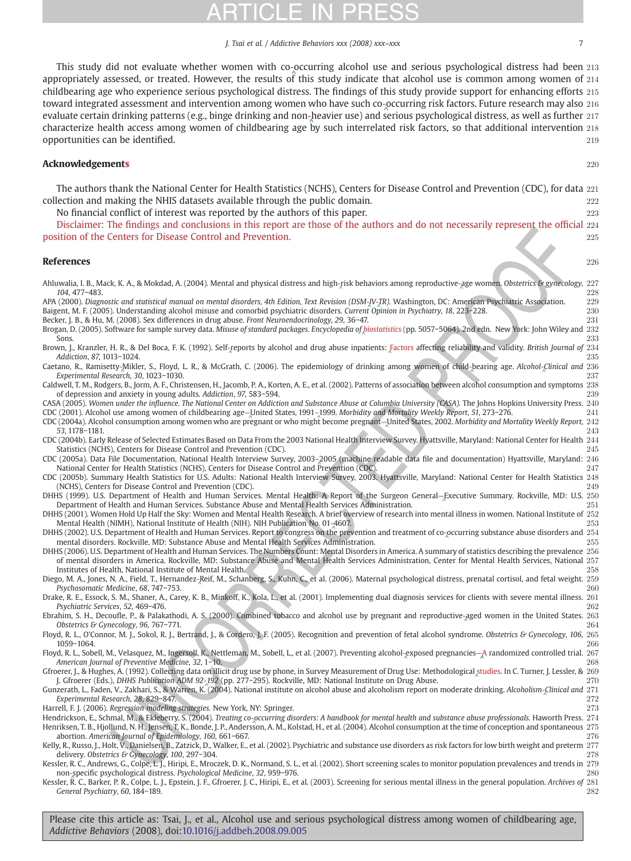### J. Tsai et al. / Addictive Behaviors xxx (2008) xxx–xxx 7

<span id="page-6-0"></span>This study did not evaluate whether women with co-[occ](Original_text: - )urring alcohol use and serious psychological distress had been 213<br>propriately assessed, or treated, However, the results of this study indicate that alcohol use is com appropriately assessed, or treated. However, the results of [th](Original_text: - )is study indicate that alcohol use is common among women of 214 childbearing age who experience serious psychological distress. The findings of this study provide support for enhancing efforts 215 toward integrated assessment and intervention among women who have such co-[occ](Original_text: - )urring risk factors. Future research may also 216<br>ovaluate certain drinking patterns (e.g., binge drinking and non-beavier use) and cerious psyc evaluate certain drinking patterns (e.g., binge drinking and non-[hea](Original_text: - )vier use) and [seri](Original_text: - )ous psychological distress, as well as further 217<br>characterize health access among wemen of childhoaring ago by such interrelated rick characterize health access among women of childbearing age [by](Original_text: - ) such interrelated risk factors, so that additional intervention 218 opportunities can be identified. 219

# **Acknowledgements** 220

The authors thank the National Center for Health Statistics (NCHS), Centers for Disease Control and Prevention (CDC), for data 221 collection and making the NHIS datasets available through the public domain. 222

No financial conflict of interest was reported by the authors of this paper. 223

Disclaimer: The findings and conclusions in this report are those of the authors and do not necessarily represent the official 224 position of the Centers for Disease Control and Prevention. 225

# **References** 226

| ciantici, The intentional concretionis in this report are those or the authors and do not necessarily<br>TOPICOURLE CHU                                                                                                                                                                                                                                                                                                                                                                                    |            |
|------------------------------------------------------------------------------------------------------------------------------------------------------------------------------------------------------------------------------------------------------------------------------------------------------------------------------------------------------------------------------------------------------------------------------------------------------------------------------------------------------------|------------|
| position of the Centers for Disease Control and Prevention.                                                                                                                                                                                                                                                                                                                                                                                                                                                | 225        |
| References                                                                                                                                                                                                                                                                                                                                                                                                                                                                                                 | 226        |
| Ahluwalia, I. B., Mack, K. A., & Mokdad, A. (2004). Mental and physical distress and high-risk behaviors among reproductive-age women. Obstetrics & gynecology, 227<br>104, 477-483.                                                                                                                                                                                                                                                                                                                       | 228        |
| APA (2000). Diagnostic and statistical manual on mental disorders, 4th Edition, Text Revision (DSM-IV-TR). Washington, DC: American Psychiatric Association.<br>Baigent, M. F. (2005). Understanding alcohol misuse and comorbid psychiatric disorders. Current Opinion in Psychiatry, 18, 223-228.                                                                                                                                                                                                        | 229<br>230 |
| Becker, J. B., & Hu, M. (2008). Sex differences in drug abuse. Front Neuroendocrinology, 29, 36-47.<br>Brogan, D. (2005). Software for sample survey data. Misuse of standard packages. Encyclopedia of biostatistics (pp. 5057-5064). 2nd edn. New York: John Wiley and 232<br>Sons.                                                                                                                                                                                                                      | 231<br>233 |
| Brown, J., Kranzler, H. R., & Del Boca, F. K. (1992). Self-reports by alcohol and drug abuse inpatients: Factors affecting reliability and validity. British Journal of 234<br>Addiction, 87, 1013-1024.                                                                                                                                                                                                                                                                                                   | 235        |
| Caetano, R., Ramisetty-Mikler, S., Floyd, L. R., & McGrath, C. (2006). The epidemiology of drinking among women of child-bearing age. Alcohol-Clinical and 236<br>Experimental Research, 30, 1023-1030.                                                                                                                                                                                                                                                                                                    | 237        |
| Caldwell, T. M., Rodgers, B., Jorm, A. F., Christensen, H., Jacomb, P. A., Korten, A. E., et al. (2002). Patterns of association between alcohol consumption and symptoms 238<br>of depression and anxiety in young adults. Addiction, 97, 583-594.                                                                                                                                                                                                                                                        | 239        |
| CASA (2005). Women under the influence. The National Center on Addiction and Substance Abuse at Columbia University (CASA). The Johns Hopkins University Press. 240<br>CDC (2001). Alcohol use among women of childbearing age-United States, 1991-1999. Morbidity and Mortality Weekly Report, 51, 273-276.<br>CDC (2004a). Alcohol consumption among women who are pregnant or who might become pregnant-United States, 2002. Morbidity and Mortality Weekly Report, 242                                 | 241        |
| 53, 1178-1181.<br>CDC (2004b). Early Release of Selected Estimates Based on Data From the 2003 National Health Interview Survey. Hyattsville, Maryland: National Center for Health 244                                                                                                                                                                                                                                                                                                                     | 243        |
| Statistics (NCHS), Centers for Disease Control and Prevention (CDC).<br>CDC (2005a). Data File Documentation, National Health Interview Survey, 2003–2005 (machine readable data file and documentation) Hyattsville, Maryland: 246<br>National Center for Health Statistics (NCHS), Centers for Disease Control and Prevention (CDC).                                                                                                                                                                     | 245<br>247 |
| CDC (2005b). Summary Health Statistics for U.S. Adults: National Health Interview Survey, 2003. Hyattsville, Maryland: National Center for Health Statistics 248<br>(NCHS), Centers for Disease Control and Prevention (CDC).                                                                                                                                                                                                                                                                              | 249        |
| DHHS (1999). U.S. Department of Health and Human Services. Mental Health: A Report of the Surgeon General–Executive Summary. Rockville, MD: U.S. 250<br>Department of Health and Human Services. Substance Abuse and Mental Health Services Administration.                                                                                                                                                                                                                                                | 251        |
| DHHS (2001). Women Hold Up Half the Sky: Women and Mental Health Research. A brief overview of research into mental illness in women. National Institute of 252<br>Mental Health (NIMH), National Institute of Health (NIH). NIH Publication No. 01-4607.<br>DHHS (2002). U.S. Department of Health and Human Services. Report to congress on the prevention and treatment of co-occurring substance abuse disorders and 254                                                                               | 253        |
| mental disorders. Rockville, MD: Substance Abuse and Mental Health Services Administration.<br>DHHS (2006). U.S. Department of Health and Human Services. The Numbers Count: Mental Disorders in America. A summary of statistics describing the prevalence 256                                                                                                                                                                                                                                            | 255        |
| of mental disorders in America. Rockville, MD: Substance Abuse and Mental Health Services Administration, Center for Mental Health Services, National 257<br>Institutes of Health, National Institute of Mental Health.                                                                                                                                                                                                                                                                                    | 258        |
| Diego, M. A., Jones, N. A., Field, T., Hernandez-Reif, M., Schanberg, S., Kuhn, C., et al. (2006). Maternal psychological distress, prenatal cortisol, and fetal weight. 259<br>Psychosomatic Medicine, 68, 747-753.<br>Drake, R. E., Essock, S. M., Shaner, A., Carey, K. B., Minkoff, K., Kola, L., et al. (2001). Implementing dual diagnosis services for clients with severe mental illness. 261                                                                                                      | 260        |
| Psychiatric Services, 52, 469-476.<br>Ebrahim, S. H., Decoufle, P., & Palakathodi, A. S. (2000). Combined tobacco and alcohol use by pregnant and reproductive-aged women in the United States. 263                                                                                                                                                                                                                                                                                                        | 262        |
| Obstetrics & Gynecology, 96, 767-771.<br>Floyd, R. L., O'Connor, M. J., Sokol, R. J., Bertrand, J., & Cordero, J. F. (2005). Recognition and prevention of fetal alcohol syndrome. Obstetrics & Gynecology, 106, 265                                                                                                                                                                                                                                                                                       | 264        |
| 1059-1064.<br>Floyd, R. L., Sobell, M., Velasquez, M., Ingersoll, K., Nettleman, M., Sobell, L., et al. (2007). Preventing alcohol-exposed pregnancies—A randomized controlled trial. 267<br>American Journal of Preventive Medicine, 32, 1-10.                                                                                                                                                                                                                                                            | 266<br>268 |
| Gfroerer, J., & Hughes, A. (1992). Collecting data on illicit drug use by phone, in Survey Measurement of Drug Use: Methodological studies. In C. Turner, J. Lessler, & 269<br>J. Gfroerer (Eds.), DHHS Publication ADM 92-192 (pp. 277-295). Rockville, MD: National Institute on Drug Abuse.                                                                                                                                                                                                             | 270        |
| Gunzerath, L., Faden, V., Zakhari, S., & Warren, K. (2004). National institute on alcohol abuse and alcoholism report on moderate drinking. Alcoholism-Clinical and 271<br>Experimental Research, 28, 829-847.                                                                                                                                                                                                                                                                                             | 272<br>273 |
| Harrell, F. J. (2006). Regression modeling strategies. New York, NY: Springer.<br>Hendrickson, E., Schmal, M., & Ekleberry, S. (2004). Treating co-occurring disorders: A handbook for mental health and substance abuse professionals. Haworth Press. 274<br>Henriksen, T. B., Hjollund, N. H., Jensen, T. K., Bonde, J. P., Andersson, A. M., Kolstad, H., et al. (2004). Alcohol consumption at the time of conception and spontaneous 275<br>abortion. American Journal of Epidemiology, 160, 661-667. | 276        |
| Kelly, R., Russo, J., Holt, V., Danielsen, B., Zatzick, D., Walker, E., et al. (2002). Psychiatric and substance use disorders as risk factors for low birth weight and preterm 277<br>delivery. Obstetrics & Gynecology, 100, 297-304.                                                                                                                                                                                                                                                                    | 278        |
| Kessler, R. C., Andrews, G., Colpe, L. J., Hiripi, E., Mroczek, D. K., Normand, S. L., et al. (2002). Short screening scales to monitor population prevalences and trends in 279<br>non-specific psychological distress. Psychological Medicine, 32, 959-976.                                                                                                                                                                                                                                              | 280        |
| Kessler, R. C., Barker, P. R., Colpe, L. J., Epstein, J. F., Gfroerer, J. C., Hiripi, E., et al. (2003). Screening for serious mental illness in the general population. Archives of 281<br>General Psychiatry, 60, 184-189.                                                                                                                                                                                                                                                                               | 282        |